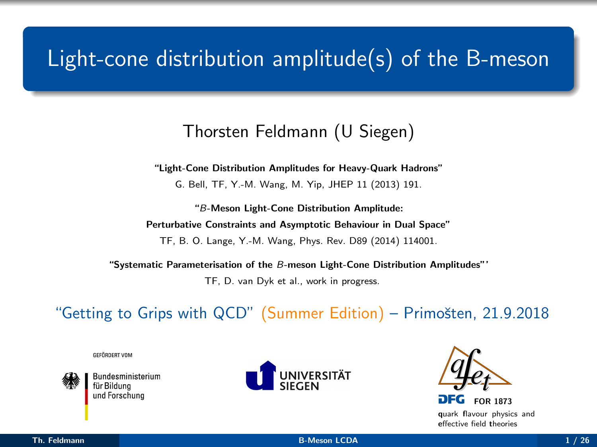# <span id="page-0-0"></span>Light-cone distribution amplitude $(s)$  of the B-meson

#### Thorsten Feldmann (U Siegen)

"Light-Cone Distribution Amplitudes for Heavy-Quark Hadrons"

G. Bell, TF, Y.-M. Wang, M. Yip, JHEP 11 (2013) 191.

"B-Meson Light-Cone Distribution Amplitude: Perturbative Constraints and Asymptotic Behaviour in Dual Space"

TF, B. O. Lange, Y.-M. Wang, Phys. Rev. D89 (2014) 114001.

"Systematic Parameterisation of the B-meson Light-Cone Distribution Amplitudes"'

TF, D. van Dyk et al., work in progress.

"Getting to Grips with QCD" (Summer Edition) – Primošten, 21.9.2018

GFFÖRDERT VOM



**Bundesministerium** ür Bilduna und Forschuna





quark flavour physics and effective field theories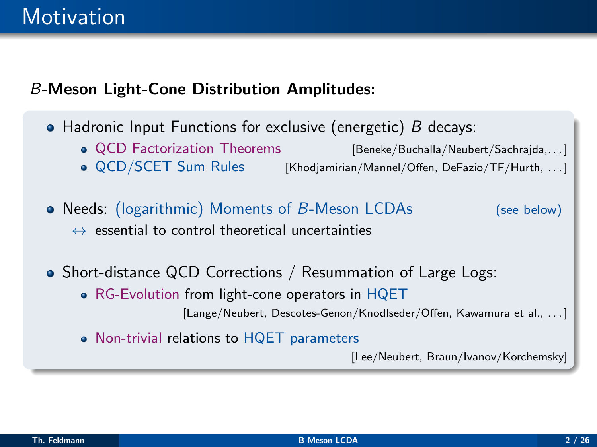### B-Meson Light-Cone Distribution Amplitudes:

- Hadronic Input Functions for exclusive (energetic)  $B$  decays:
	- QCD Factorization Theorems [Beneke/Buchalla/Neubert/Sachrajda,...] • QCD/SCET Sum Rules [Khodjamirian/Mannel/Offen, DeFazio/TF/Hurth, . . . ]
- Needs: (logarithmic) Moments of B-Meson LCDAs (see below)  $\leftrightarrow$  essential to control theoretical uncertainties
- Short-distance QCD Corrections / Resummation of Large Logs:
	- RG-Evolution from light-cone operators in HQET [Lange/Neubert, Descotes-Genon/Knodlseder/Offen, Kawamura et al., ...]
	- Non-trivial relations to HQET parameters

[Lee/Neubert, Braun/Ivanov/Korchemsky]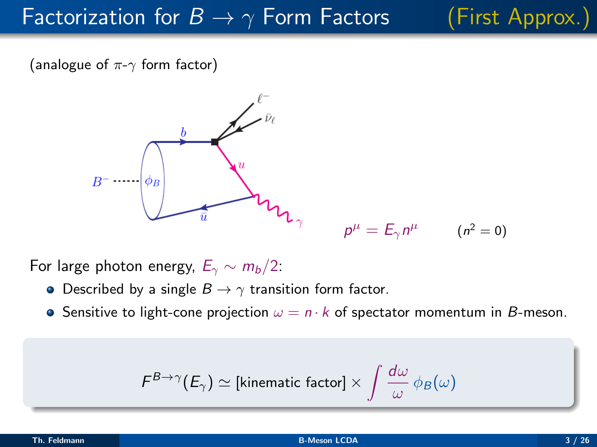## Factorization for  $B \to \gamma$  Form Factors (First Approx.)

(analogue of  $\pi$ - $\gamma$  form factor)



 $p^{\mu} = E_{\gamma} n^{\mu}$  (n<sup>2</sup> = 0)

For large photon energy,  $E_{\gamma} \sim m_b/2$ :

- Described by a single  $B \to \gamma$  transition form factor.
- **Sensitive to light-cone projection**  $\omega = n \cdot k$  of spectator momentum in B-meson.

$$
\digamma^{B\rightarrow\gamma}(E_\gamma)\simeq \text{[kinematic factor]}\times \int \frac{d\omega}{\omega}\,\phi_B(\omega)
$$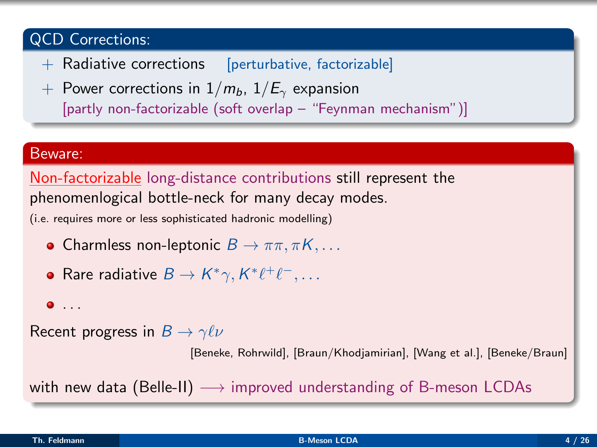#### QCD Corrections:

- + Radiative corrections [perturbative, factorizable]
- + Power corrections in  $1/m_b$ ,  $1/E_\gamma$  expansion [partly non-factorizable (soft overlap – "Feynman mechanism")]

#### Beware:

Non-factorizable long-distance contributions still represent the phenomenlogical bottle-neck for many decay modes.

(i.e. requires more or less sophisticated hadronic modelling)

- Charmless non-leptonic  $B \to \pi\pi, \pi K, \ldots$
- Rare radiative  $B \to K^* \gamma, K^* \ell^+ \ell^-, \ldots$

#### $\bullet$  ...

Recent progress in  $B \to \gamma \ell \nu$ 

[Beneke, Rohrwild], [Braun/Khodjamirian], [Wang et al.], [Beneke/Braun]

with new data (Belle-II)  $\longrightarrow$  improved understanding of B-meson LCDAs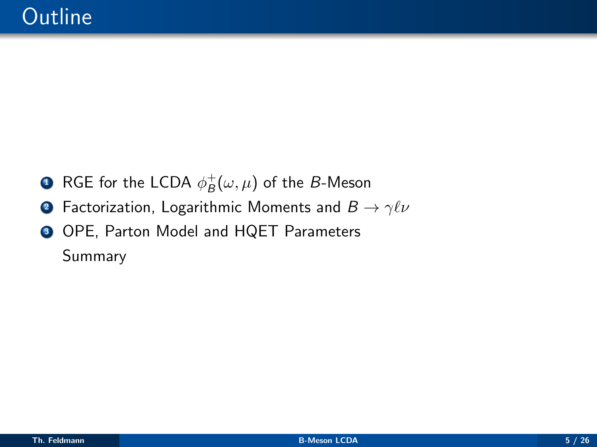- $\bullet$  RGE for the LCDA  $\phi_B^+(\omega,\mu)$  of the  $B$ -Meson
- **2** Factorization, Logarithmic Moments and  $B \to \gamma \ell \nu$
- <sup>3</sup> OPE, Parton Model and HQET Parameters Summary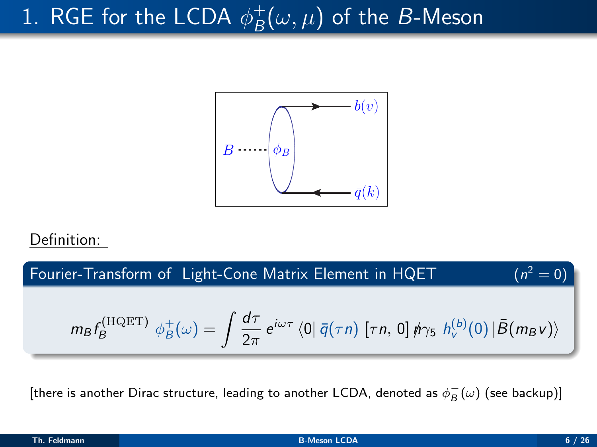#### 1. RGE for the LCDA  $\phi_B^+$  $_B^+(\omega,\mu)$  of the B-Meson



#### Definition:

Fourier-Transform of Light-Cone Matrix Element in HQET  $(n^2 = 0)$  $m_B f^{\rm (HQET)}_B$  $\phi_B^{\text{+ (HQET)}}\ \phi_B^{\text{+}}(\omega)=\ \int \frac{d\tau}{2\pi}$  $\frac{d\tau}{2\pi} e^{i\omega\tau} \bra{0} \bar{q}(\tau n) \ [\tau n, 0] \not\!\!\!\!/ \gamma_5 \not\!\!\!\! h_v^{(b)}(0) \ket{\bar{B}(m_B\nu)}$ 

[there is another Dirac structure, leading to another LCDA, denoted as  $\phi_B^-(\omega)$  (see backup)]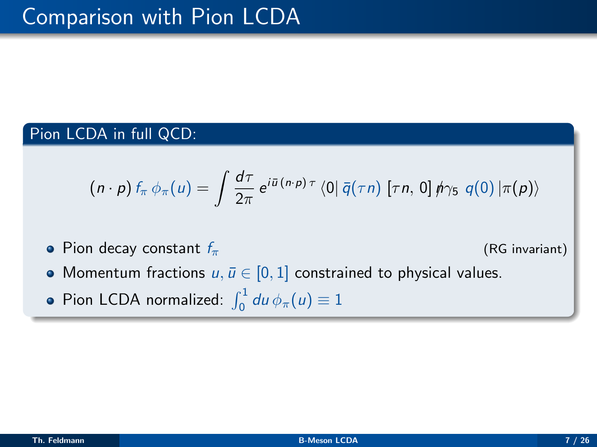#### Pion LCDA in full QCD:

$$
(n \cdot p) f_{\pi} \phi_{\pi}(u) = \int \frac{d\tau}{2\pi} e^{i\bar{u}(n \cdot p) \tau} \langle 0 | \bar{q}(\tau n) [\tau n, 0] \hat{p} \gamma_5 q(0) | \pi(p) \rangle
$$

• Pion decay constant  $f_{\pi}$  (RG invariant)

- Momentum fractions  $u, \bar{u} \in [0, 1]$  constrained to physical values.
- Pion LCDA normalized:  $\int_0^1 du \, \phi_\pi(u) \equiv 1$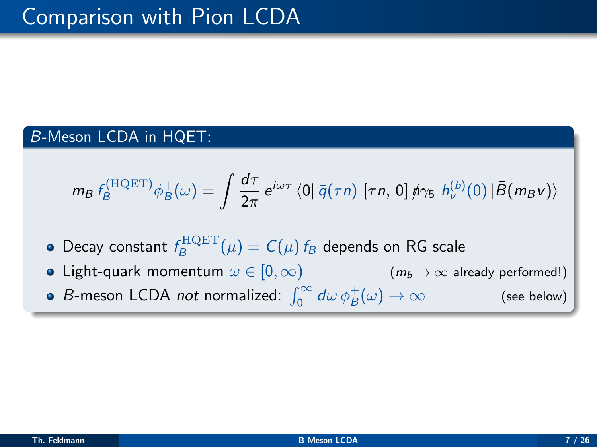### B-Meson LCDA in HQET:

$$
m_B f_B^{\text{(HQET)}} \phi_B^+(\omega) = \int \frac{d\tau}{2\pi} e^{i\omega\tau} \langle 0 | \bar{q}(\tau n) [ \tau n, 0] \phi \gamma_5 h_v^{(b)}(0) | \bar{B}(m_B v) \rangle
$$

- Decay constant  $f_B^{\text{HQET}}(\mu) = C(\mu) f_B$  depends on RG scale
- Light-quark momentum  $\omega \in [0, \infty)$  ( $m_b \to \infty$  already performed!)
- B-meson LCDA *not* normalized:  $\int_0^\infty d\omega \, \phi_B^+$ (see below)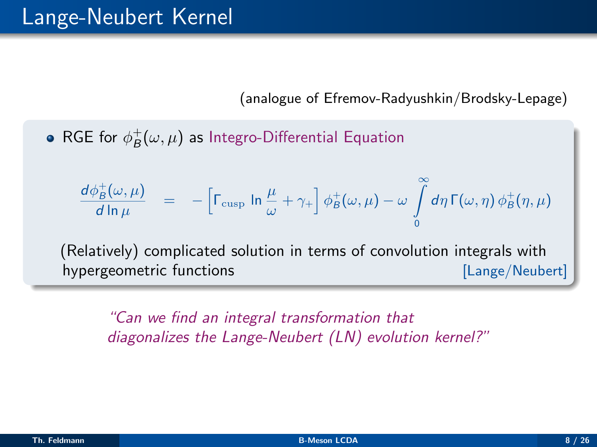(analogue of Efremov-Radyushkin/Brodsky-Lepage)

RGE for  $\phi_B^+(\omega,\mu)$  as Integro-Differential Equation

$$
\frac{d\phi_B^+(\omega,\mu)}{d\ln\mu} = -\left[\Gamma_{\text{cusp}}\ln\frac{\mu}{\omega} + \gamma_+\right]\phi_B^+(\omega,\mu) - \omega \int\limits_0^\infty d\eta\,\Gamma(\omega,\eta)\,\phi_B^+(\eta,\mu)
$$

(Relatively) complicated solution in terms of convolution integrals with hypergeometric functions [Lange/Neubert]

"Can we find an integral transformation that diagonalizes the Lange-Neubert (LN) evolution kernel?"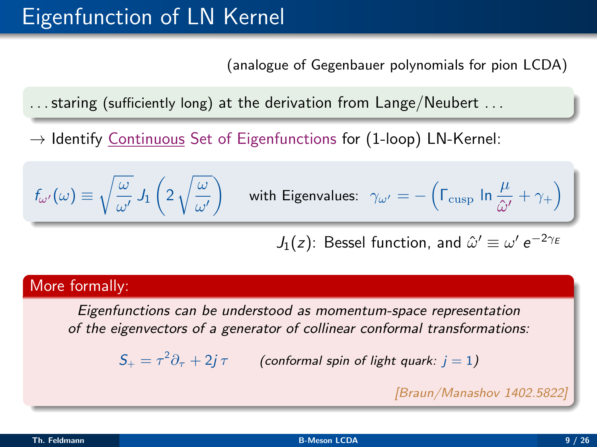### Eigenfunction of LN Kernel

(analogue of Gegenbauer polynomials for pion LCDA)

. . . staring (sufficiently long) at the derivation from Lange/Neubert . . .

 $\rightarrow$  Identify Continuous Set of Eigenfunctions for (1-loop) LN-Kernel:

$$
f_{\omega'}(\omega) \equiv \sqrt{\frac{\omega}{\omega'}} \, J_1\left(2 \, \sqrt{\frac{\omega}{\omega'}}\right) \quad \text{ with Eigenvalues:} \;\; \gamma_{\omega'} = -\left(\Gamma_{\text{cusp}} \, \ln \frac{\mu}{\hat{\omega'}} + \gamma_+\right) \; \bigg]
$$

 $J_1(z)$ : Bessel function, and  $\hat{\omega}' \equiv \omega' \, e^{-2 \gamma_E}$ 

#### More formally:

Eigenfunctions can be understood as momentum-space representation of the eigenvectors of a generator of collinear conformal transformations:

 $\mathcal{S}_+ = \tau^2 \partial_\tau + 2j\, \tau$  (conformal spin of light quark:  $j=1)$ 

[Braun/Manashov 1402.5822]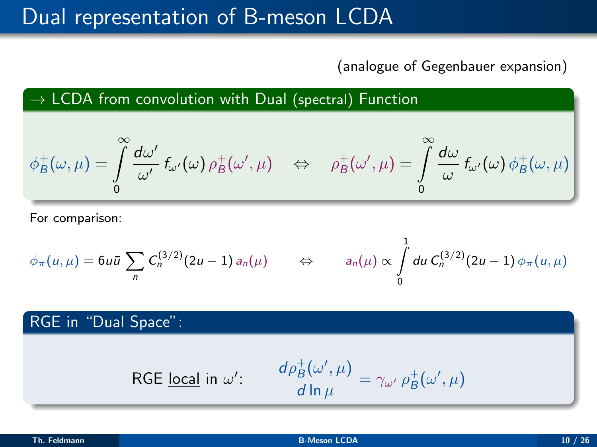### Dual representation of B-meson LCDA

(analogue of Gegenbauer expansion)

 $\rightarrow$  LCDA from convolution with Dual (spectral) Function

$$
\phi_B^+(\omega,\mu) = \int\limits_0^\infty \frac{d\omega'}{\omega'} f_{\omega'}(\omega) \rho_B^+(\omega',\mu) \quad \Leftrightarrow \quad \rho_B^+(\omega',\mu) = \int\limits_0^\infty \frac{d\omega}{\omega} f_{\omega'}(\omega) \phi_B^+(\omega,\mu)
$$

For comparison:

$$
\phi_{\pi}(u,\mu) = 6u\bar{u} \sum_{n} C_{n}^{(3/2)}(2u-1) a_{n}(\mu) \qquad \Leftrightarrow \qquad a_{n}(\mu) \propto \int_{0}^{1} du \ C_{n}^{(3/2)}(2u-1) \phi_{\pi}(u,\mu)
$$

RGE in "Dual Space":

$$
\textsf{RGE } \underline{\textsf{local}} \textsf{ in } \omega': \quad \frac{d\rho_B^+(\omega',\mu)}{d\ln\mu} = \gamma_{\omega'} \, \rho_B^+(\omega',\mu)
$$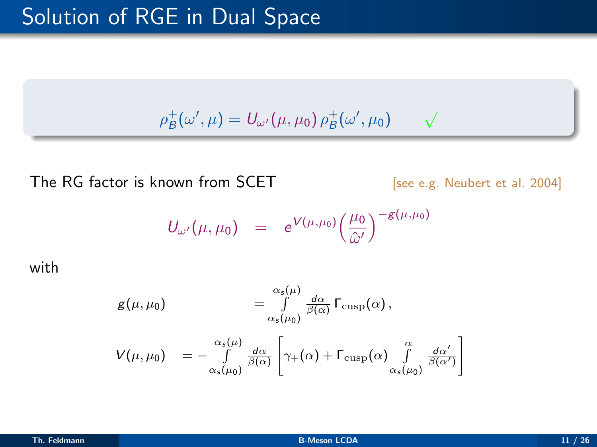$\rho_B^+(\omega',\mu) = U_{\omega'}(\mu,\mu_0) \, \rho_B^+(\omega',\mu_0)$ √

The RG factor is known from SCET [see e.g. Neubert et al. 2004]

$$
U_{\omega'}(\mu,\mu_0) = e^{V(\mu,\mu_0)} \left(\frac{\mu_0}{\hat{\omega}'}\right)^{-g(\mu,\mu_0)}
$$

with

$$
g(\mu,\mu_0) \qquad \qquad = \int\limits_{\alpha_s(\mu_0)}^{\alpha_s(\mu)}\frac{d\alpha}{\beta(\alpha)}\Gamma_{\rm cusp}(\alpha)\,,
$$

$$
V(\mu, \mu_0) = -\int\limits_{\alpha_s(\mu_0)}^{\alpha_s(\mu)} \frac{d\alpha}{\beta(\alpha)} \left[ \gamma_+(\alpha) + \Gamma_{\text{cusp}}(\alpha) \int\limits_{\alpha_s(\mu_0)}^{\alpha} \frac{d\alpha'}{\beta(\alpha')} \right]
$$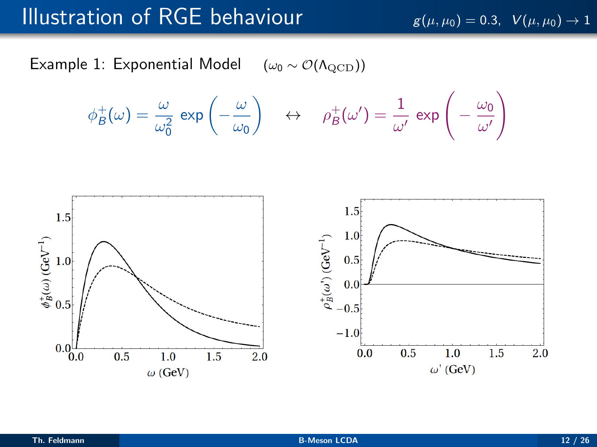### Illustration of RGE behaviour  $g(\mu, \mu_0) = 0.3$ ,  $V(\mu, \mu_0) \rightarrow 1$

Example 1: Exponential Model  $(\omega_0 \sim \mathcal{O}(\Lambda_{\mathrm{QCD}}))$ 

$$
\phi_B^+(\omega) = \frac{\omega}{\omega_0^2} \exp\left(-\frac{\omega}{\omega_0}\right) \quad \leftrightarrow \quad \rho_B^+(\omega') = \frac{1}{\omega'} \exp\left(-\frac{\omega_0}{\omega'}\right)
$$

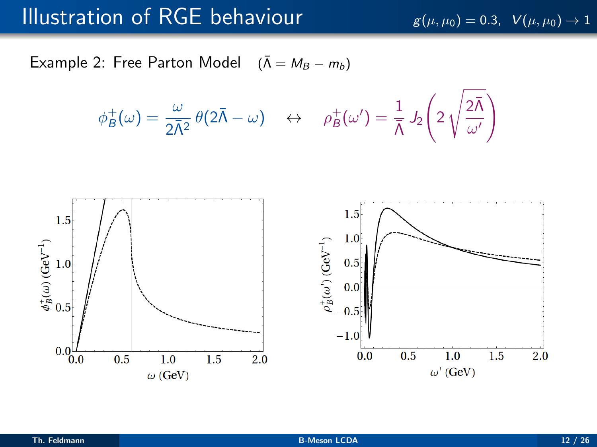### Illustration of RGE behaviour  $g(\mu, \mu_0) = 0.3$ ,  $V(\mu, \mu_0) \rightarrow 1$

Example 2: Free Parton Model  $(\bar{\Lambda} = M_B - m_b)$ 

$$
\phi_B^+(\omega) = \frac{\omega}{2\overline{\Lambda}^2} \theta(2\overline{\Lambda} - \omega) \quad \leftrightarrow \quad \rho_B^+(\omega') = \frac{1}{\overline{\Lambda}} J_2\left(2\sqrt{\frac{2\overline{\Lambda}}{\omega'}}\right)
$$

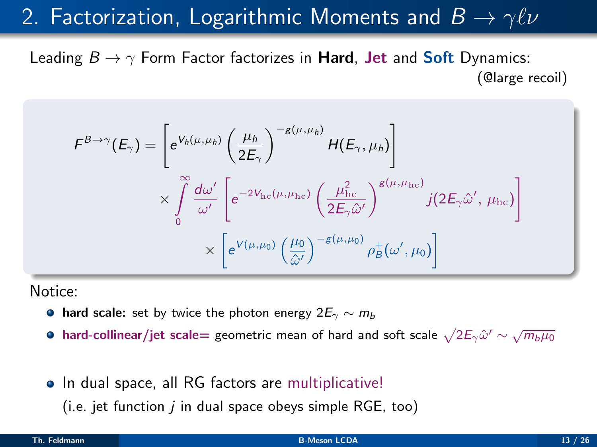### 2. Factorization, Logarithmic Moments and  $B \to \gamma \ell \nu$

Leading  $B \to \gamma$  Form Factor factorizes in **Hard, Jet** and **Soft** Dynamics: (@large recoil)

$$
F^{B\to\gamma}(E_{\gamma}) = \left[e^{V_h(\mu,\mu_h)} \left(\frac{\mu_h}{2E_{\gamma}}\right)^{-g(\mu,\mu_h)} H(E_{\gamma},\mu_h)\right] \times \int\limits_{0}^{\infty} \frac{d\omega'}{\omega'} \left[e^{-2V_{\rm hc}(\mu,\mu_{\rm hc})} \left(\frac{\mu_{\rm hc}^2}{2E_{\gamma}\hat{\omega}'}\right)^{g(\mu,\mu_{\rm hc})} j(2E_{\gamma}\hat{\omega}',\mu_{\rm hc})\right] \times \left[e^{V(\mu,\mu_0)} \left(\frac{\mu_0}{\hat{\omega}'}\right)^{-g(\mu,\mu_0)} \rho_B^+(\omega',\mu_0)\right]
$$

Notice:

- **hard scale:** set by twice the photon energy  $2E_\gamma \sim m_b$
- hard-collinear/jet scale= geometric mean of hard and soft scale  $\sqrt{2E_{\gamma}\hat{\omega}'}\sim\sqrt{m_b\mu_0}$
- In dual space, all RG factors are multiplicative!

(i.e. jet function  $i$  in dual space obeys simple RGE, too)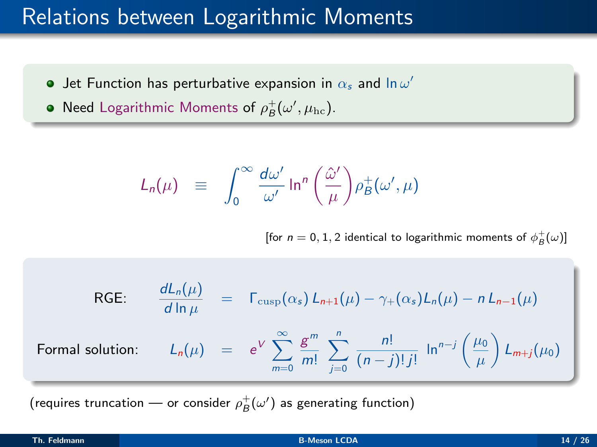### Relations between Logarithmic Moments

- Jet Function has perturbative expansion in  $\alpha_s$  and  $\ln \omega'$
- Need Logarithmic Moments of  $\rho_B^+(\omega',\mu_{\mathrm{hc}})$ .

$$
L_n(\mu) \equiv \int_0^\infty \frac{d\omega'}{\omega'} \ln^n \left(\frac{\hat{\omega}'}{\mu}\right) \rho_B^+(\omega', \mu)
$$

[for  $n = 0, 1, 2$  identical to logarithmic moments of  $\phi_B^+(\omega)$ ]

RGE: 
$$
\frac{dL_n(\mu)}{d \ln \mu} = \Gamma_{\text{cusp}}(\alpha_s) L_{n+1}(\mu) - \gamma_+(\alpha_s) L_n(\mu) - n L_{n-1}(\mu)
$$
  
Formal solution: 
$$
L_n(\mu) = e^V \sum_{m=0}^{\infty} \frac{g^m}{m!} \sum_{j=0}^n \frac{n!}{(n-j)! j!} \ln^{n-j} \left(\frac{\mu_0}{\mu}\right) L_{m+j}(\mu_0)
$$

(requires truncation — or consider  $\rho_B^+(\omega')$  as generating function)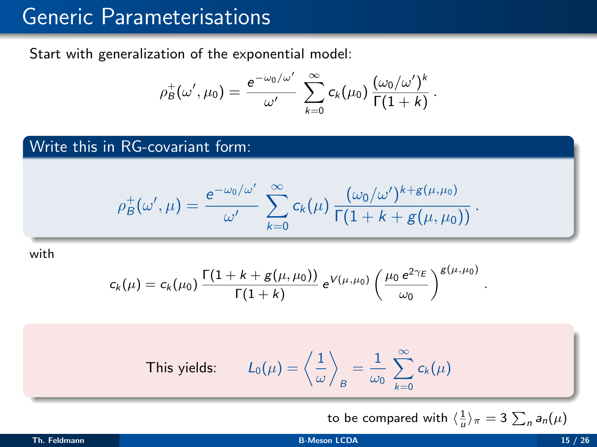### Generic Parameterisations

Start with generalization of the exponential model:

$$
\rho_B^+(\omega',\mu_0)=\frac{e^{-\omega_0/\omega'}}{\omega'}\sum_{k=0}^\infty c_k(\mu_0)\frac{(\omega_0/\omega')^k}{\Gamma(1+k)}.
$$

Write this in RG-covariant form:

$$
\rho_B^+(\omega',\mu) = \frac{e^{-\omega_0/\omega'}}{\omega'} \sum_{k=0}^{\infty} c_k(\mu) \frac{(\omega_0/\omega')^{k+g(\mu,\mu_0)}}{\Gamma(1+k+g(\mu,\mu_0))}.
$$

with

$$
c_k(\mu) = c_k(\mu_0) \, \frac{\Gamma(1 + k + g(\mu, \mu_0))}{\Gamma(1 + k)} \, e^{V(\mu, \mu_0)} \left(\frac{\mu_0 \, e^{2\gamma_E}}{\omega_0}\right)^{g(\mu, \mu_0)}
$$

This yields: 
$$
L_0(\mu) = \left\langle \frac{1}{\omega} \right\rangle_B = \frac{1}{\omega_0} \sum_{k=0}^{\infty} c_k(\mu)
$$

to be compared with  $\langle \frac{1}{u} \rangle_{\pi} = 3 \sum_{n} a_{n}(\mu)$ 

.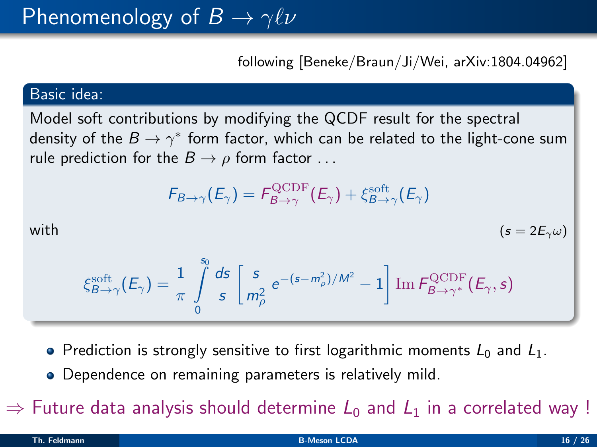following [Beneke/Braun/Ji/Wei, arXiv:1804.04962]

#### Basic idea:

Model soft contributions by modifying the QCDF result for the spectral density of the  $B\to \gamma^*$  form factor, which can be related to the light-cone sum rule prediction for the  $B \to \rho$  form factor ...

$$
F_{B\to\gamma}(E_\gamma)=F_{B\to\gamma}^{\rm QCDF}(E_\gamma)+\xi_{B\to\gamma}^{\rm soft}(E_\gamma)
$$

with 
$$
(s = 2E_\gamma \omega)
$$

$$
\xi_{B\to\gamma}^{\text{soft}}(E_{\gamma}) = \frac{1}{\pi} \int\limits_{0}^{s_0} \frac{ds}{s} \left[ \frac{s}{m_{\rho}^2} e^{-(s-m_{\rho}^2)/M^2} - 1 \right] \text{Im} \, F_{B\to\gamma^*}^{\text{QCDF}}(E_{\gamma}, s)
$$

- Prediction is strongly sensitive to first logarithmic moments  $L_0$  and  $L_1$ .
- Dependence on remaining parameters is relatively mild.

 $\Rightarrow$  Future data analysis should determine  $L_0$  and  $L_1$  in a correlated way !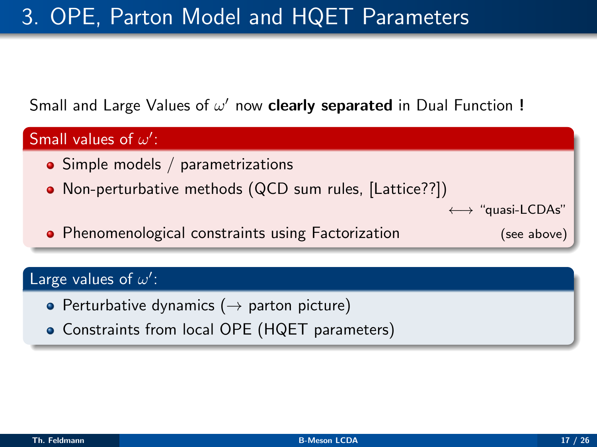### 3. OPE, Parton Model and HQET Parameters

### Small and Large Values of  $\omega'$  now clearly separated in Dual Function !



### Large values of  $\omega'$ :

- Perturbative dynamics ( $\rightarrow$  parton picture)
- Constraints from local OPE (HQET parameters)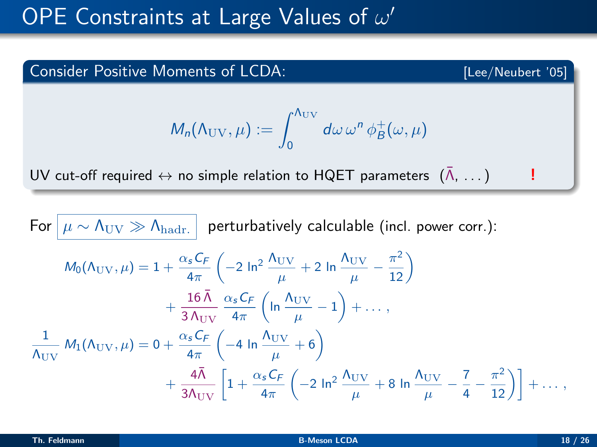# OPE Constraints at Large Values of  $\omega'$

# Consider Positive Moments of LCDA: [Lee/Neubert '05]  $M_n(\Lambda_{\rm UV},\mu):=\,\int^{\Lambda_{\rm UV}}_1\,d\omega\,\omega^n\,\phi_B^+(\omega,\mu)$ 0 UV cut-off required  $\leftrightarrow$  no simple relation to HQET parameters  $(\bar{\Lambda}, \ldots)$

For  $|\mu \sim \Lambda_{\text{UV}} \gg \Lambda_{\text{hadr.}}|$  perturbatively calculable (incl. power corr.):  $M_0(\Lambda_\text{UV}, \mu) = 1 + \frac{\alpha_s C_f}{4\pi}$  $\left(-2 \ln^2 \frac{\Lambda_{\rm UV}}{\mu} + 2 \ln \frac{\Lambda_{\rm UV}}{\mu}\right)$  $\frac{\mathrm{UV}}{\mu}-\frac{\pi^2}{12}\bigg)$  $+\frac{16\bar{\Lambda}}{24}$ 3  $\Lambda_{\rm UV}$  $\alpha_{\sf s}$ C<sub>F</sub>  $4\pi$  $\int$  ln  $\frac{\Lambda_{\rm UV}}{}$  $\frac{\mathrm{UV}}{\mu}-1\biggr)+\ldots\,,$ 1  $\frac{1}{\Lambda_\mathrm{UV}}\,M_1(\Lambda_\mathrm{UV},\mu) = 0 + \frac{\alpha_\mathrm{s}\,C_F}{4\pi}$  $\int$  −4 ln  $\frac{\Lambda_{\rm UV}}{}$  $\frac{UV}{\mu} + 6$  $+\frac{4\bar{\Lambda}}{3\Lambda_{\rm UV}}\left[1+\frac{\alpha_s C_F}{4\pi}\right]$  $4\pi$  $\left(-2 \ln^2 \frac{\Lambda_{\rm UV}}{\mu} + 8 \ln \frac{\Lambda_{\rm UV}}{\mu}\right)$  $\frac{UV}{\mu} - \frac{7}{4}$  $\left[ \frac{7}{4} - \frac{\pi^2}{12} \right] + \dots,$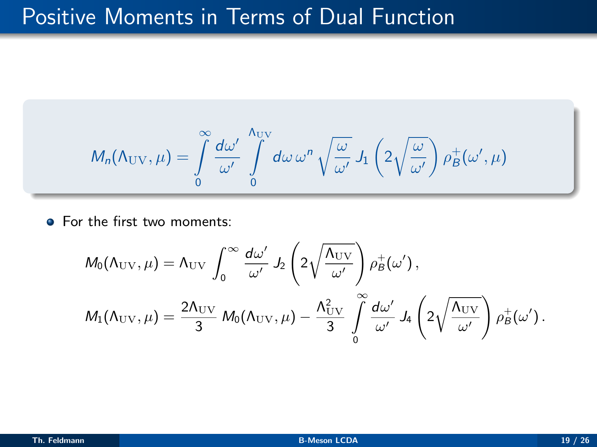### Positive Moments in Terms of Dual Function

$$
M_n(\Lambda_{\text{UV}}, \mu) = \int\limits_0^\infty \frac{d\omega'}{\omega'} \int\limits_0^{\Lambda_{\text{UV}}} d\omega \, \omega^n \, \sqrt{\frac{\omega}{\omega'}} \, J_1\left(2\sqrt{\frac{\omega}{\omega'}}\right) \rho_B^+(\omega', \mu)
$$

• For the first two moments:

$$
\begin{aligned} &M_0(\Lambda_\mathrm{UV},\mu) = \Lambda_\mathrm{UV} \, \int_0^\infty \frac{d\omega'}{\omega'} \, J_2\left(2\sqrt{\frac{\Lambda_\mathrm{UV}}{\omega'}}\right) \rho_B^+(\omega')\,,\\ &M_1(\Lambda_\mathrm{UV},\mu) = \frac{2\Lambda_\mathrm{UV}}{3}\, M_0(\Lambda_\mathrm{UV},\mu) - \frac{\Lambda_\mathrm{UV}^2}{3} \, \int_0^\infty \frac{d\omega'}{\omega'} \, J_4\left(2\sqrt{\frac{\Lambda_\mathrm{UV}}{\omega'}}\right) \rho_B^+(\omega')\,. \end{aligned}
$$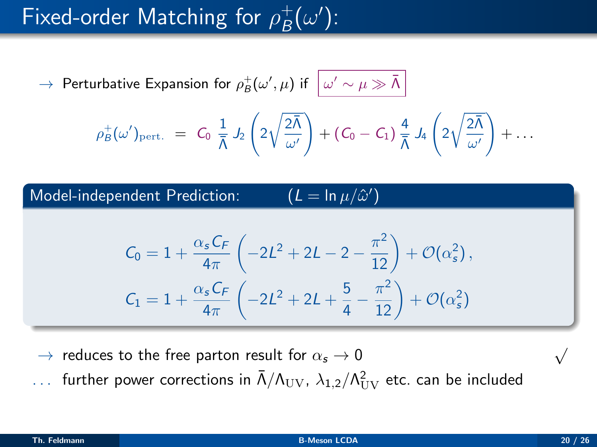#### Fixed-order Matching for  $\rho_{B}^{+}$  $_B^+(\omega')$ :

 $\rightarrow$  Perturbative Expansion for  $\rho_B^+(\omega',\mu)$  if  $\big\,|\,\omega'\sim\mu\gg\bar{\Lambda}$ 

$$
\rho_{\bar{\beta}}^+(\omega')_{\mathrm{pert.}}\;=\; C_0\;\frac{1}{\bar{\Lambda}}\;J_2\left(2\sqrt{\frac{2\bar{\Lambda}}{\omega'}}\right)+\left(C_0-C_1\right)\frac{4}{\bar{\Lambda}}\;J_4\left(2\sqrt{\frac{2\bar{\Lambda}}{\omega'}}\right)+\ldots
$$

0 )

Model-independent Prediction:

$$
\begin{aligned} C_0&=1+\frac{\alpha_s C_F}{4\pi}\left(-2L^2+2L-2-\frac{\pi^2}{12}\right)+\mathcal{O}(\alpha_s^2)\,,\\ C_1&=1+\frac{\alpha_s C_F}{4\pi}\left(-2L^2+2L+\frac{5}{4}-\frac{\pi^2}{12}\right)+\mathcal{O}(\alpha_s^2) \end{aligned}
$$

 $\rightarrow$  reduces to the free parton result for  $\alpha_s \rightarrow 0$ 

 $\ldots$  further power corrections in  $\bar{\Lambda}/\Lambda_{\rm UV}$ ,  $\lambda_{1,2}/\Lambda_{\rm UV}^2$  etc. can be included

√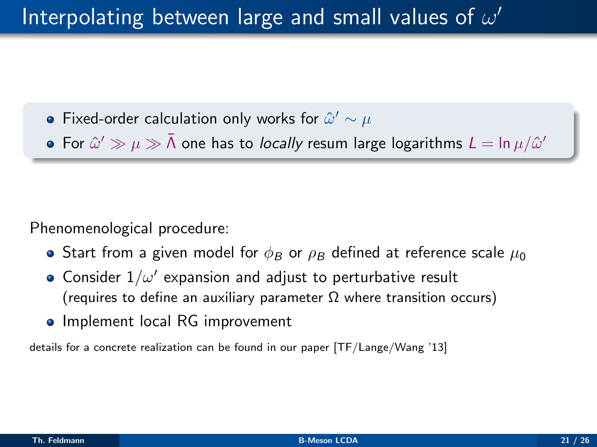- Fixed-order calculation only works for  $\hat{\omega}' \sim \mu$
- For  $\hat{\omega}' \gg \mu \gg \bar{\Lambda}$  one has to *locally* resum large logarithms  $L = \ln \mu / \hat{\omega}'$

Phenomenological procedure:

- Start from a given model for  $\phi_B$  or  $\rho_B$  defined at reference scale  $\mu_0$
- Consider  $1/\omega'$  expansion and adjust to perturbative result (requires to define an auxiliary parameter  $\Omega$  where transition occurs)
- Implement local RG improvement

details for a concrete realization can be found in our paper [TF/Lange/Wang '13]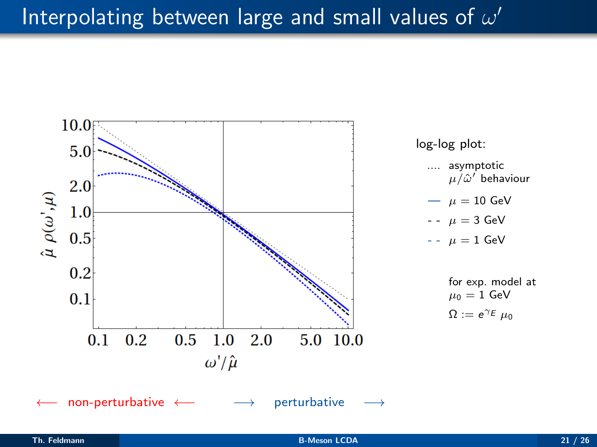# Interpolating between large and small values of  $\omega'$

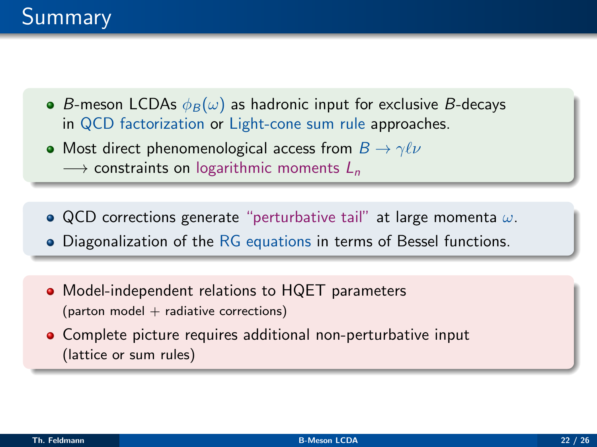- B-meson LCDAs  $\phi_B(\omega)$  as hadronic input for exclusive B-decays in QCD factorization or Light-cone sum rule approaches.
- Most direct phenomenological access from  $B \to \gamma \ell \nu$  $\rightarrow$  constraints on logarithmic moments  $L_n$
- QCD corrections generate "perturbative tail" at large momenta  $\omega$ .
- Diagonalization of the RG equations in terms of Bessel functions.
- Model-independent relations to HQET parameters  $(parton model + radiative corrections)$
- Complete picture requires additional non-perturbative input (lattice or sum rules)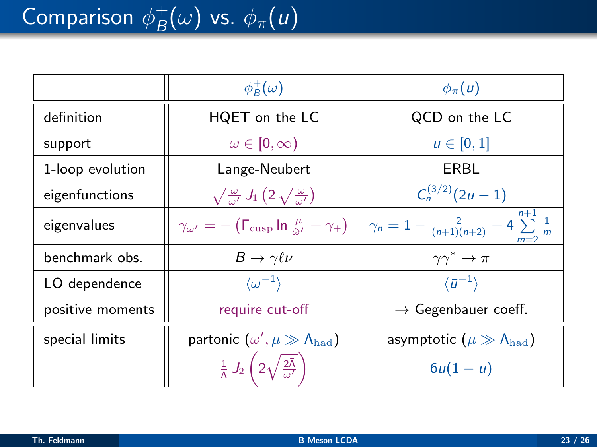|                  | $\phi_B^+(\omega)$                                                                    | $\phi_{\pi}(u)$                                                   |
|------------------|---------------------------------------------------------------------------------------|-------------------------------------------------------------------|
| definition       | HQET on the LC                                                                        | QCD on the LC                                                     |
| support          | $\omega \in [0, \infty)$                                                              | $u \in [0,1]$                                                     |
| 1-loop evolution | Lange-Neubert                                                                         | ERBL                                                              |
| eigenfunctions   | $\sqrt{\frac{\omega}{\omega'}} J_1(2\sqrt{\frac{\omega}{\omega'}})$                   | $C_n^{(3/2)}(2u-1)$                                               |
| eigenvalues      | $\gamma_{\omega'} = -(\Gamma_{\text{cusp}} \ln \frac{\mu}{\hat{\omega}'} + \gamma_+)$ | $\gamma_n=1-\frac{2}{(n+1)(n+2)}+4\sum_{m=2}^{\infty}\frac{1}{m}$ |
| benchmark obs.   | $B \to \gamma \ell \nu$                                                               | $\gamma\gamma^*\to\pi$                                            |
| LO dependence    | $\langle \omega^{-1} \rangle$                                                         | $\langle \bar{u}^{-1} \rangle$                                    |
| positive moments | require cut-off                                                                       | $\rightarrow$ Gegenbauer coeff.                                   |
| special limits   | partonic $(\omega', \mu \gg \Lambda_{\rm had})$                                       | asymptotic $(\mu \gg \Lambda_{\rm had})$                          |
|                  | $\frac{1}{\bar{\Lambda}} J_2 \left( 2 \sqrt{\frac{2 \bar{\Lambda}}{\omega'}} \right)$ | $6u(1-u)$                                                         |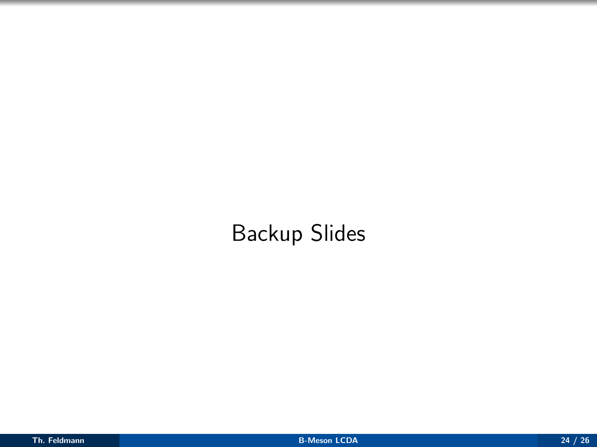# Backup Slides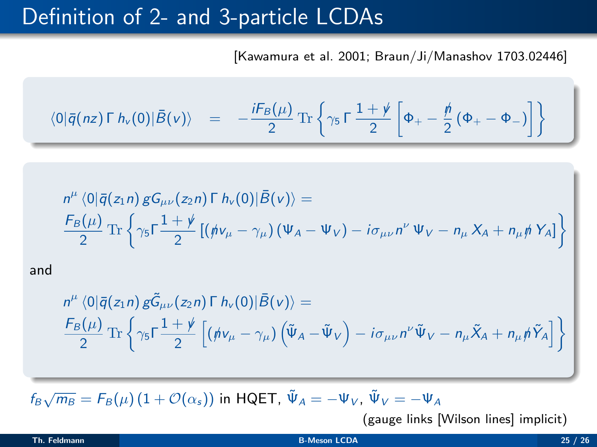### Definition of 2- and 3-particle LCDAs

[Kawamura et al. 2001; Braun/Ji/Manashov 1703.02446]

$$
\langle 0|\bar{q}(nz)\Gamma h_{\nu}(0)|\bar{B}(\nu)\rangle = -\frac{iF_B(\mu)}{2}\operatorname{Tr}\left\{\gamma_5\Gamma\frac{1+\rlap{\hspace{0.02cm}/}{2}}{2}\left[\Phi_{+}-\frac{\rlap{\hspace{0.02cm}/}{2}}{2}\left(\Phi_{+}-\Phi_{-}\right)\right]\right\}
$$

$$
n^{\mu} \langle 0|\bar{q}(z_1n) gG_{\mu\nu}(z_2n) \Gamma h_{\nu}(0)|\bar{B}(\nu)\rangle =
$$
  

$$
\frac{F_B(\mu)}{2} \text{Tr} \left\{\gamma_5 \Gamma \frac{1+\psi}{2} \left[ (\dot{\psi}\nu_{\mu} - \gamma_{\mu}) (\Psi_A - \Psi_V) - i\sigma_{\mu\nu}n^{\nu} \Psi_V - n_{\mu} X_A + n_{\mu} \dot{\psi} Y_A \right] \right\}
$$

and

$$
n^{\mu} \langle 0|\bar{q}(z_1n)\,g\tilde{G}_{\mu\nu}(z_2n)\,\Gamma\,h_{\nu}(0)|\bar{B}(\nu)\rangle =
$$
  
\n
$$
\frac{F_B(\mu)}{2}\,\text{Tr}\left\{\gamma_5\Gamma\frac{1+\nu}{2}\left[(\dot{n}\nu_{\mu}-\gamma_{\mu})\left(\tilde{\Psi}_A-\tilde{\Psi}_V\right)-i\sigma_{\mu\nu}n^{\nu}\tilde{\Psi}_V-n_{\mu}\tilde{X}_A+n_{\mu}\tilde{n}\tilde{Y}_A\right]\right\}
$$

 $f_B\sqrt{m_B} = F_B(\mu) (1 + \mathcal{O}(\alpha_s))$  in HQET,  $\tilde{\Psi}_A = -\Psi_V$ ,  $\tilde{\Psi}_V = -\Psi_A$ 

(gauge links [Wilson lines] implicit)